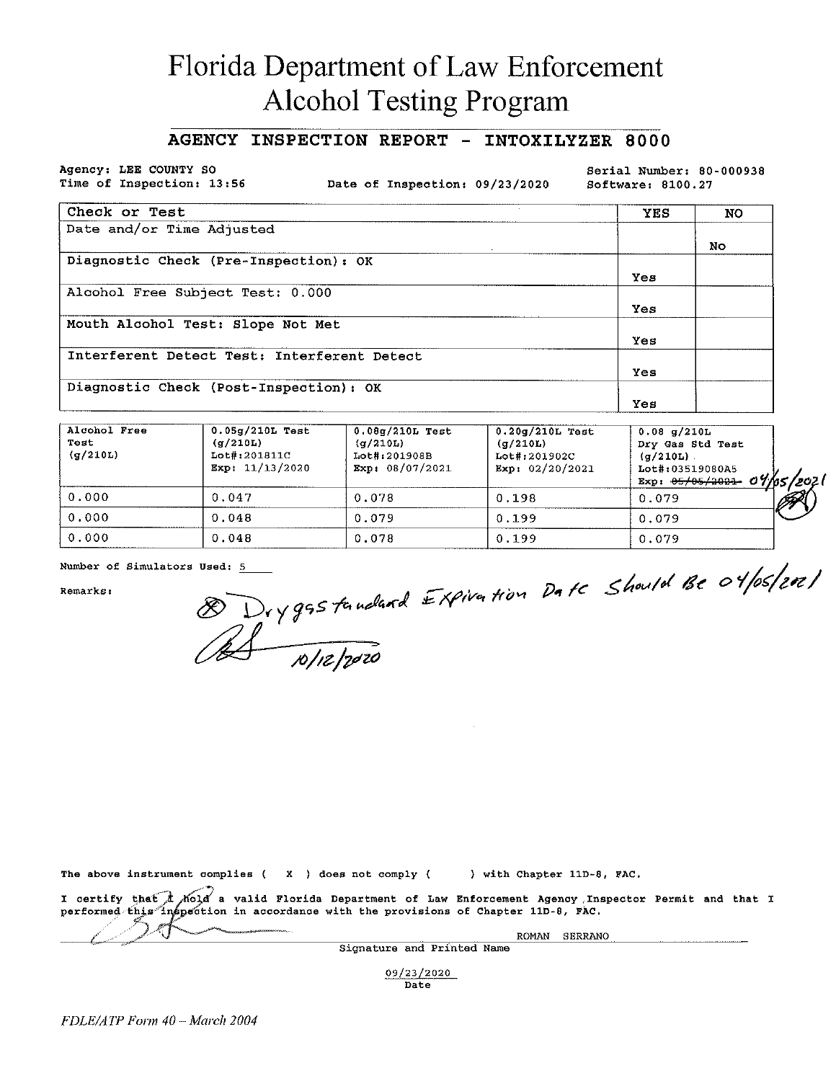# Florida Department of Law Enforcement **Alcohol Testing Program**

#### AGENCY INSPECTION REPORT - INTOXILYZER 8000

Agency: LEE COUNTY SO Time of Inspection: 13:56

Date of Inspection: 09/23/2020

Serial Number: 80-000938 Software: 8100.27

| Check or Test                               | YES | NO. |
|---------------------------------------------|-----|-----|
| Date and/or Time Adjusted                   |     |     |
|                                             |     | No. |
| Diagnostic Check (Pre-Inspection): OK       |     |     |
|                                             | Yes |     |
| Alcohol Free Subject Test: 0.000            |     |     |
|                                             | Yes |     |
| Mouth Alcohol Test: Slope Not Met           |     |     |
|                                             | Yes |     |
| Interferent Detect Test: Interferent Detect |     |     |
|                                             | Yes |     |
| Diagnostic Check (Post-Inspection): OK      |     |     |
|                                             | Yes |     |

| Alcohol Free<br>Test<br>(q/210L) | $0.05g/210L$ Test<br>$(\sigma/210L)$<br>Lot#:201811C<br>Exp: 11/13/2020 | $0.08g/210L$ Test<br>(q/210L)<br>Lot#:201908B<br>Exp: $08/07/2021$ | $0.20q/210L$ Test<br>(q/210L)<br>Lot#:201902C<br>Exp: $02/20/2021$ | $0.08$ q/210L<br>Dry Gas Std Test<br>(q/210L)<br>Lot#:03519080A5<br>$Exp: 05/05/2001 - 04/05/202$ |          |
|----------------------------------|-------------------------------------------------------------------------|--------------------------------------------------------------------|--------------------------------------------------------------------|---------------------------------------------------------------------------------------------------|----------|
| 0.000                            | 0.047                                                                   | 0.078                                                              | 0.198                                                              | 0.079                                                                                             | <b>B</b> |
| 0.000                            | 0.048                                                                   | 0.079                                                              | 0.199                                                              | 0.079                                                                                             |          |
| 0.000                            | 0.048                                                                   | 0.078                                                              | 0.199                                                              | 0.079                                                                                             |          |

Number of Simulators Used: 5

Remarks:

Dryggs tandard Expiration Date Should Be 04/05/2021

The above instrument complies ( X ) does not comply ( ) with Chapter 11D-8, FAC.

I certify that *A* Mold a valid Florida Department of Law Enforcement Agency Inspector Permit and that I performed this inspection in accordance with the provisions of Chapter 11D-8, FAC. ROMAN SERRANO

Signature and Printed Name

09/23/2020  $\overline{\mathbf{Date}}$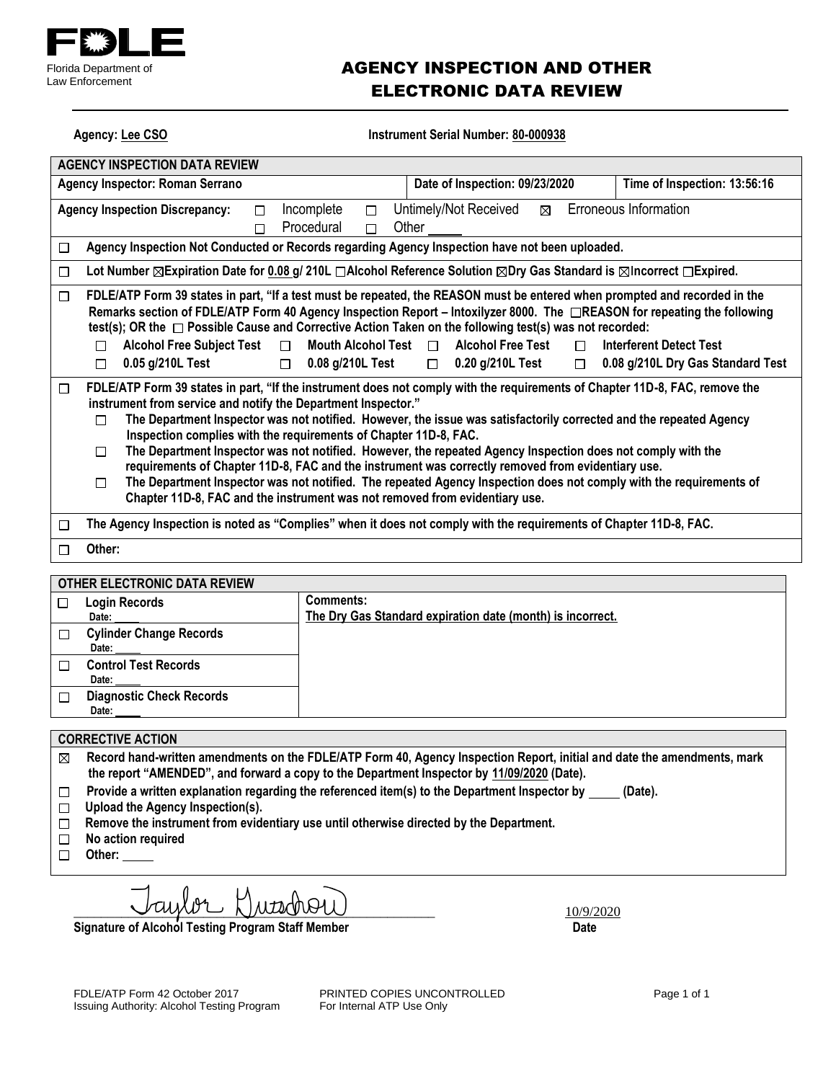

### AGENCY INSPECTION AND OTHER ELECTRONIC DATA REVIEW

Agency: Lee CSO **Instrument Serial Number: 80-000938** 

| <b>AGENCY INSPECTION DATA REVIEW</b>                                                                                                                                                                                                                                                                                                                                                          |                                                                                                                                                                                                                                                                                                                                                                                                                                                                                                                                                                                                                                                                                                                                                                                                                                |                                                                                                                   |        |                            |                           |       |                          |   |        |                                                                                                                    |
|-----------------------------------------------------------------------------------------------------------------------------------------------------------------------------------------------------------------------------------------------------------------------------------------------------------------------------------------------------------------------------------------------|--------------------------------------------------------------------------------------------------------------------------------------------------------------------------------------------------------------------------------------------------------------------------------------------------------------------------------------------------------------------------------------------------------------------------------------------------------------------------------------------------------------------------------------------------------------------------------------------------------------------------------------------------------------------------------------------------------------------------------------------------------------------------------------------------------------------------------|-------------------------------------------------------------------------------------------------------------------|--------|----------------------------|---------------------------|-------|--------------------------|---|--------|--------------------------------------------------------------------------------------------------------------------|
|                                                                                                                                                                                                                                                                                                                                                                                               | Agency Inspector: Roman Serrano<br>Date of Inspection: 09/23/2020<br>Time of Inspection: 13:56:16                                                                                                                                                                                                                                                                                                                                                                                                                                                                                                                                                                                                                                                                                                                              |                                                                                                                   |        |                            |                           |       |                          |   |        |                                                                                                                    |
|                                                                                                                                                                                                                                                                                                                                                                                               |                                                                                                                                                                                                                                                                                                                                                                                                                                                                                                                                                                                                                                                                                                                                                                                                                                | <b>Agency Inspection Discrepancy:</b>                                                                             | $\Box$ | Incomplete                 | $\Box$                    |       | Untimely/Not Received    | ⊠ |        | Erroneous Information                                                                                              |
|                                                                                                                                                                                                                                                                                                                                                                                               |                                                                                                                                                                                                                                                                                                                                                                                                                                                                                                                                                                                                                                                                                                                                                                                                                                |                                                                                                                   | П      | Procedural                 | П                         | Other |                          |   |        |                                                                                                                    |
| $\Box$                                                                                                                                                                                                                                                                                                                                                                                        |                                                                                                                                                                                                                                                                                                                                                                                                                                                                                                                                                                                                                                                                                                                                                                                                                                | Agency Inspection Not Conducted or Records regarding Agency Inspection have not been uploaded.                    |        |                            |                           |       |                          |   |        |                                                                                                                    |
| $\Box$                                                                                                                                                                                                                                                                                                                                                                                        |                                                                                                                                                                                                                                                                                                                                                                                                                                                                                                                                                                                                                                                                                                                                                                                                                                |                                                                                                                   |        |                            |                           |       |                          |   |        | Lot Number ⊠Expiration Date for 0.08 g/ 210L alcohol Reference Solution ⊠Dry Gas Standard is ⊠Incorrect alExpired. |
| $\Box$                                                                                                                                                                                                                                                                                                                                                                                        | FDLE/ATP Form 39 states in part, "If a test must be repeated, the REASON must be entered when prompted and recorded in the<br>Remarks section of FDLE/ATP Form 40 Agency Inspection Report – Intoxilyzer 8000. The □REASON for repeating the following<br>test(s); OR the $\Box$ Possible Cause and Corrective Action Taken on the following test(s) was not recorded:                                                                                                                                                                                                                                                                                                                                                                                                                                                         |                                                                                                                   |        |                            |                           |       |                          |   |        |                                                                                                                    |
|                                                                                                                                                                                                                                                                                                                                                                                               | п                                                                                                                                                                                                                                                                                                                                                                                                                                                                                                                                                                                                                                                                                                                                                                                                                              | <b>Alcohol Free Subject Test</b>                                                                                  |        | $\Box$                     | Mouth Alcohol Test $\Box$ |       | <b>Alcohol Free Test</b> |   | $\Box$ | Interferent Detect Test                                                                                            |
|                                                                                                                                                                                                                                                                                                                                                                                               | $\Box$                                                                                                                                                                                                                                                                                                                                                                                                                                                                                                                                                                                                                                                                                                                                                                                                                         | 0.05 g/210L Test                                                                                                  |        | 0.08 g/210L Test<br>$\Box$ |                           |       | $\Box$ 0.20 g/210L Test  |   | $\Box$ | 0.08 g/210L Dry Gas Standard Test                                                                                  |
| $\Box$                                                                                                                                                                                                                                                                                                                                                                                        | FDLE/ATP Form 39 states in part, "If the instrument does not comply with the requirements of Chapter 11D-8, FAC, remove the<br>instrument from service and notify the Department Inspector."<br>The Department Inspector was not notified. However, the issue was satisfactorily corrected and the repeated Agency<br>П<br>Inspection complies with the requirements of Chapter 11D-8, FAC.<br>The Department Inspector was not notified. However, the repeated Agency Inspection does not comply with the<br>П<br>requirements of Chapter 11D-8, FAC and the instrument was correctly removed from evidentiary use.<br>The Department Inspector was not notified. The repeated Agency Inspection does not comply with the requirements of<br>П<br>Chapter 11D-8, FAC and the instrument was not removed from evidentiary use. |                                                                                                                   |        |                            |                           |       |                          |   |        |                                                                                                                    |
| □                                                                                                                                                                                                                                                                                                                                                                                             |                                                                                                                                                                                                                                                                                                                                                                                                                                                                                                                                                                                                                                                                                                                                                                                                                                | The Agency Inspection is noted as "Complies" when it does not comply with the requirements of Chapter 11D-8, FAC. |        |                            |                           |       |                          |   |        |                                                                                                                    |
| $\Box$                                                                                                                                                                                                                                                                                                                                                                                        | Other:                                                                                                                                                                                                                                                                                                                                                                                                                                                                                                                                                                                                                                                                                                                                                                                                                         |                                                                                                                   |        |                            |                           |       |                          |   |        |                                                                                                                    |
|                                                                                                                                                                                                                                                                                                                                                                                               |                                                                                                                                                                                                                                                                                                                                                                                                                                                                                                                                                                                                                                                                                                                                                                                                                                |                                                                                                                   |        |                            |                           |       |                          |   |        |                                                                                                                    |
| <b>OTHER ELECTRONIC DATA REVIEW</b><br>Comments:<br><b>Login Records</b><br>$\Box$<br>The Dry Gas Standard expiration date (month) is incorrect.<br>Date:<br>$\mathsf{A}$ . It is a set of the set of the set of the set of the set of the set of the set of the set of the set of the set of the set of the set of the set of the set of the set of the set of the set of the set of the set |                                                                                                                                                                                                                                                                                                                                                                                                                                                                                                                                                                                                                                                                                                                                                                                                                                |                                                                                                                   |        |                            |                           |       |                          |   |        |                                                                                                                    |

| Date:                                    | The Dry Gas Standard expiration date (month) is incorrect. |
|------------------------------------------|------------------------------------------------------------|
| <b>Cylinder Change Records</b><br>Date:  |                                                            |
| <b>Control Test Records</b><br>Date:     |                                                            |
| <b>Diagnostic Check Records</b><br>Date: |                                                            |

#### **CORRECTIVE ACTION**

- **Record hand-written amendments on the FDLE/ATP Form 40, Agency Inspection Report, initial and date the amendments, mark**   $\boxtimes$ **the report "AMENDED", and forward a copy to the Department Inspector by 11/09/2020 (Date).**
- Provide a written explanation regarding the referenced item(s) to the Department Inspector by \_\_\_\_\_ (Date).  $\Box$
- **Upload the Agency Inspection(s).**
- **Remove the instrument from evidentiary use until otherwise directed by the Department.**
- **No action required**  $\Box$
- **Other:**

 $\chi_{\nu\tau}$ 

Signature of Alcohol Testing Program Staff Member **Date 19th Contact Contact Contact Contact Contact Contact Contact Contact Contact Contact Contact Contact Contact Contact Contact Contact Contact Contact Contact Contact C** 

FDLE/ATP Form 42 October 2017 **PRINTED COPIES UNCONTROLLED** Page 1 of 1<br>
Issuing Authority: Alcohol Testing Program For Internal ATP Use Only Issuing Authority: Alcohol Testing Program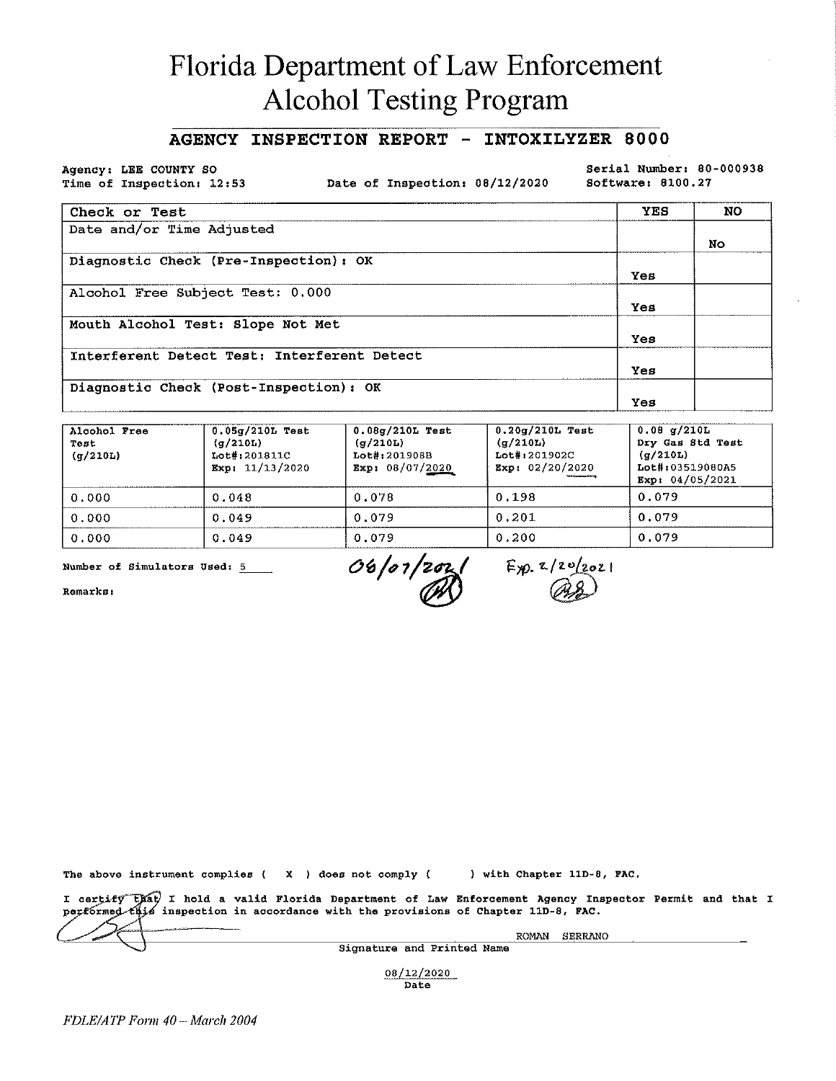# Florida Department of Law Enforcement **Alcohol Testing Program**

#### AGENCY INSPECTION REPORT - INTOXILYZER 8000

Agency: LEE COUNTY SO Time of Inspection: 12:53

Date of Inspection: 08/12/2020

Serial Number: 80-000938 Software: 8100.27

| Check or Test                               | <b>YES</b> | NO. |
|---------------------------------------------|------------|-----|
| Date and/or Time Adjusted                   |            |     |
|                                             |            | No. |
| Diagnostic Check (Pre-Inspection): OK       |            |     |
|                                             | Yes        |     |
| Alcohol Free Subject Test: 0.000            |            |     |
|                                             | Yes        |     |
| Mouth Alcohol Test: Slope Not Met           |            |     |
|                                             | Yes        |     |
| Interferent Detect Test: Interferent Detect |            |     |
|                                             | Yes        |     |
| Diagnostic Check (Post-Inspection): OK      |            |     |
|                                             | Yes        |     |

| Alcohol Free<br>Test<br>(q/210L) | $0.05q/210L$ Test<br>$(\sigma/210L)$<br>Lot#:201811C<br>Exp: $11/13/2020$ | $0.08q/210L$ Test<br>(q/210L)<br>$Lot$ #:201908B<br>Exp: 08/07/2020 | $0.20q/210L$ Test<br>$(\sigma/210L)$<br>Lot#:201902C<br>Exp: 02/20/2020 | $0.08$ g/210L<br>Dry Gas Std Test<br>(q/210L)<br>Lot#:03519080A5<br>Exp: 04/05/2021 |
|----------------------------------|---------------------------------------------------------------------------|---------------------------------------------------------------------|-------------------------------------------------------------------------|-------------------------------------------------------------------------------------|
| 0.000                            | 0.048                                                                     | 0.078                                                               | 0.198                                                                   | 0.079                                                                               |
| 0.000                            | 0.049                                                                     | 0.079                                                               | 0.201                                                                   | 0.079                                                                               |
| 0.000                            | 0.049                                                                     | 0.079                                                               | 0.200                                                                   | 0.079                                                                               |

Number of Simulators Used:  $5$ 

06/07/2021 Exp. 2/20/2021

ROMAN SERRANO

Remarks:

The above instrument complies ( $X$ ) does not comply ( $Y$ ) with Chapter 11D-8, FAC.

I certify that I hold a valid Florida Department of Law Enforcement Agency Inspector Permit and that I performed this inspection in accordance with the provisions of Chapter 11D-8, FAC.

Signature and Printed Name